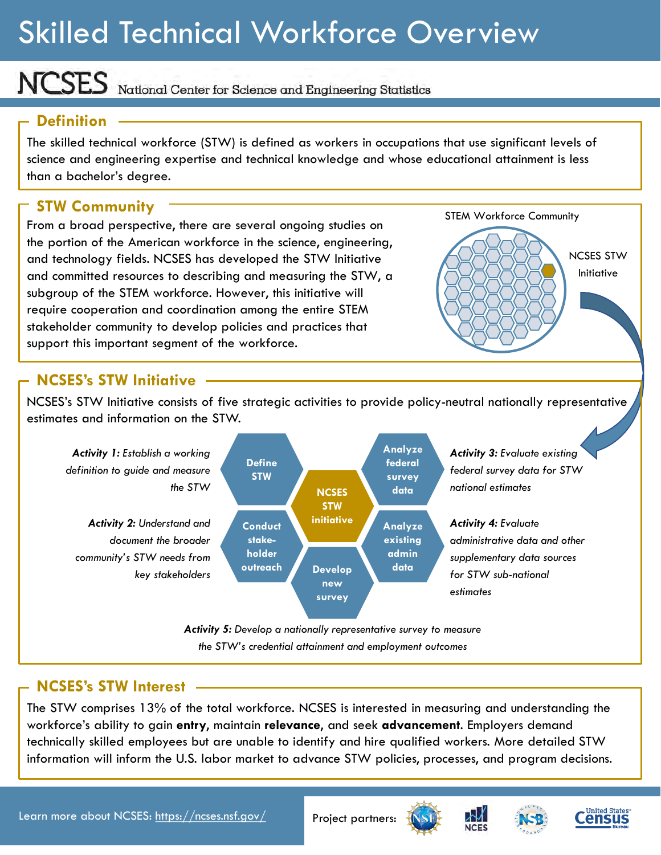## Skilled Technical Workforce Overview

NCSES National Center for Science and Engineering Statistics

## **Definition**

The skilled technical workforce (STW) is defined as workers in occupations that use significant levels of science and engineering expertise and technical knowledge and whose educational attainment is less than a bachelor's degree.

## **STW Community**

From a broad perspective, there are several ongoing studies on the portion of the American workforce in the science, engineering, and technology fields. NCSES has developed the STW Initiative and committed resources to describing and measuring the STW, a subgroup of the STEM workforce. However, this initiative will require cooperation and coordination among the entire STEM stakeholder community to develop policies and practices that support this important segment of the workforce.



## **NCSES's STW Initiative**

NCSES's STW Initiative consists of five strategic activities to provide policy-neutral nationally representative estimates and information on the STW.



## **NCSES's STW Interest**

The STW comprises 13% of the total workforce. NCSES is interested in measuring and understanding the workforce's ability to gain **entry**, maintain **relevance**, and seek **advancement**. Employers demand technically skilled employees but are unable to identify and hire qualified workers. More detailed STW information will inform the U.S. labor market to advance STW policies, processes, and program decisions.

Learn more about NCSES: [https://ncses.nsf.gov/](http://ncses.nsf.gov/) Project partners: